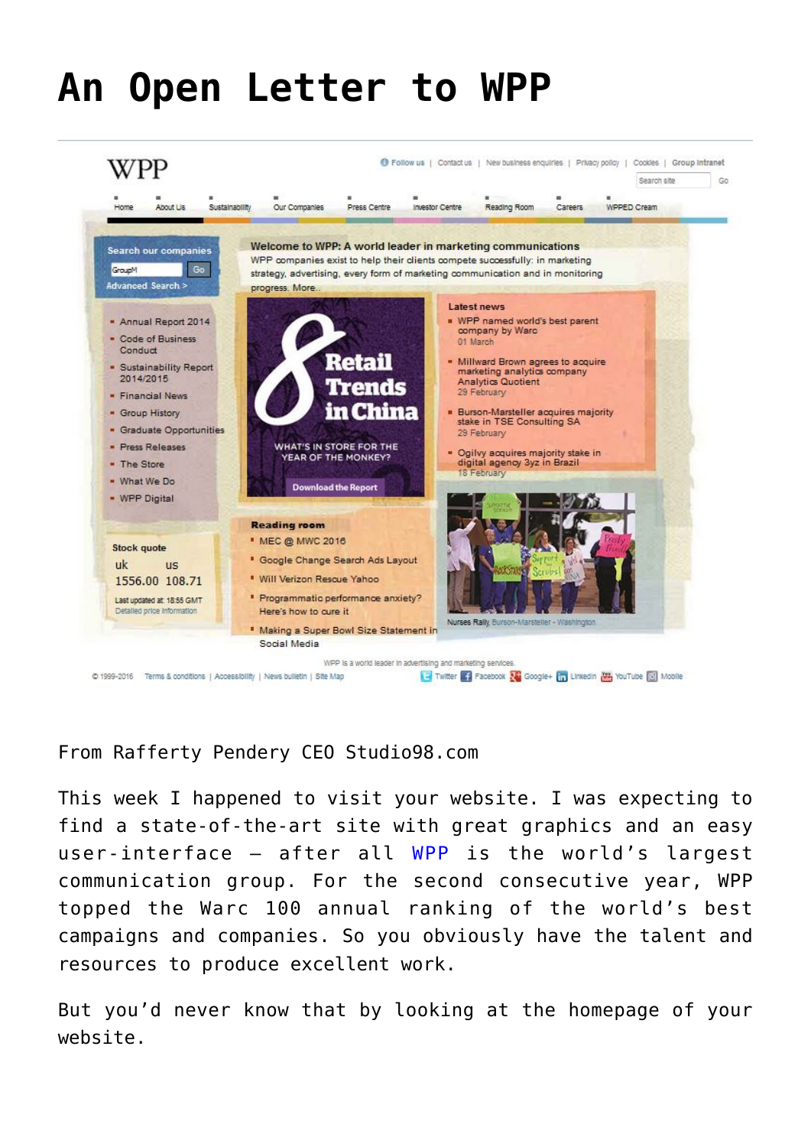## **[An Open Letter to WPP](https://www.commpro.biz/an-open-letter-to-wpp/)**



## From Rafferty Pendery CEO [Studio98.com](https://www.studio98.com)

This week I happened to visit your website. I was expecting to find a state-of-the-art site with great graphics and an easy user-interface – after all [WPP](https://www.wpp.com/wpp/) [i](https://www.wpp.com/wpp/)s the world's largest communication group. For the second consecutive year, WPP topped the Warc 100 annual ranking of the world's best campaigns and companies. So you obviously have the talent and resources to produce excellent work.

But you'd never know that by looking at the homepage of your website.